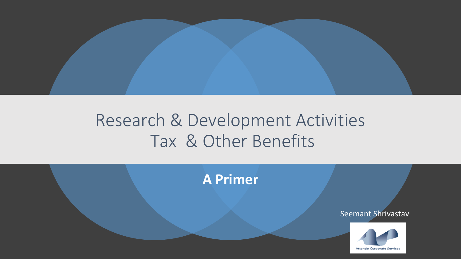

#### Research & Development Activities Tax & Other Benefits

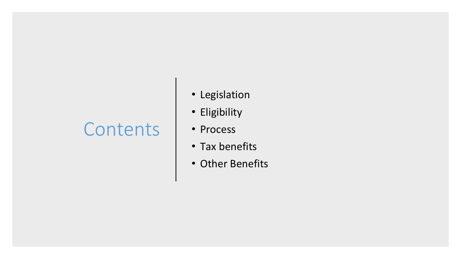#### **Contents**

- Legislation
- Eligibility
- Process
- Tax benefits
- Other Benefits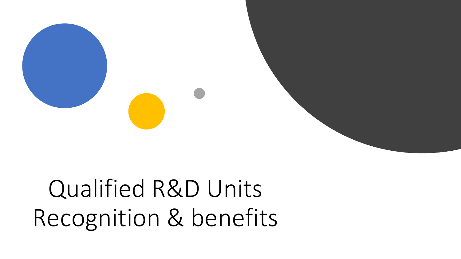# Qualified R&D Units Recognition & benefits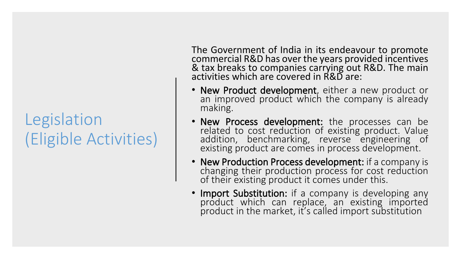#### Legislation (Eligible Activities)

The Government of India in its endeavour to promote commercial R&D has over the years provided incentives & tax breaks to companies carrying out R&D. The main activities which are covered in R&D are:

- **New Product development**, either a new product or an improved product which the company is already making.
- **New Process development:** the processes can be related to cost reduction of existing product. Value addition, benchmarking, reverse engineering of existing product are comes in process development.
- **New Production Process development:** if a company is changing their production process for cost reduction of their existing product it comes under this.
- **Import Substitution:** if a company is developing any product which can replace, an existing imported product in the market, it's called import substitution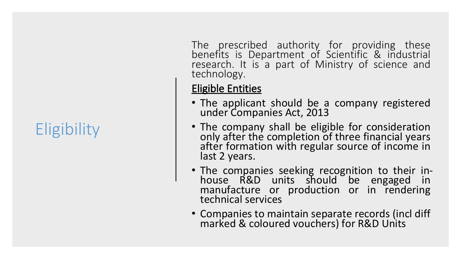## **Eligibility**

The prescribed authority for providing these benefits is Department of Scientific & industrial research. It is a part of Ministry of science and technology.

#### **Eligible Entities**

- The applicant should be a company registered under Companies Act, 2013
- The company shall be eligible for consideration only after the completion of three financial years after formation with regular source of income in last 2 years.
- The companies seeking recognition to their inhouse R&D units should be engaged in manufacture or production or in rendering technical services
- Companies to maintain separate records (incl diff marked & coloured vouchers) for R&D Units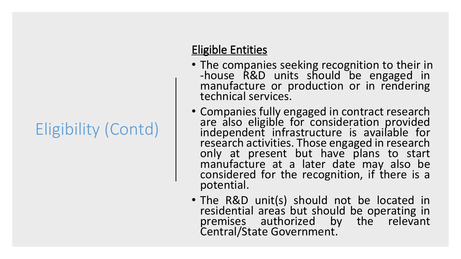### Eligibility (Contd)

#### **Eligible Entities**

- The companies seeking recognition to their in -house R&D units should be engaged in manufacture or production or in rendering technical services.
- Companies fully engaged in contract research are also eligible for consideration provided independent infrastructure is available for research activities. Those engaged in research only at present but have plans to start manufacture at a later date may also be considered for the recognition, if there is a potential.
- The R&D unit(s) should not be located in residential areas but should be operating in premises authorized by the relevant Central/State Government.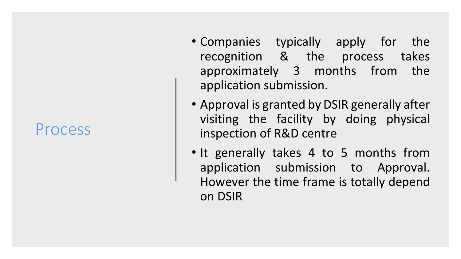#### Process

- Companies typically apply for the recognition & the process takes approximately 3 months from the application submission.
- Approval is granted by DSIR generally after visiting the facility by doing physical inspection of R&D centre
- It generally takes 4 to 5 months from application submission to Approval. However the time frame is totally depend on DSIR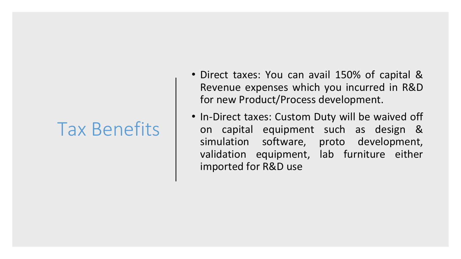#### Tax Benefits

- Direct taxes: You can avail 150% of capital & Revenue expenses which you incurred in R&D for new Product/Process development.
- In-Direct taxes: Custom Duty will be waived off on capital equipment such as design & simulation software, proto development, validation equipment, lab furniture either imported for R&D use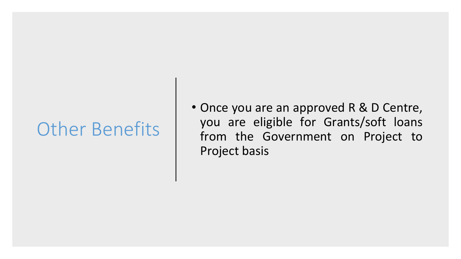### Other Benefits

• Once you are an approved R & D Centre, you are eligible for Grants/soft loans from the Government on Project to Project basis